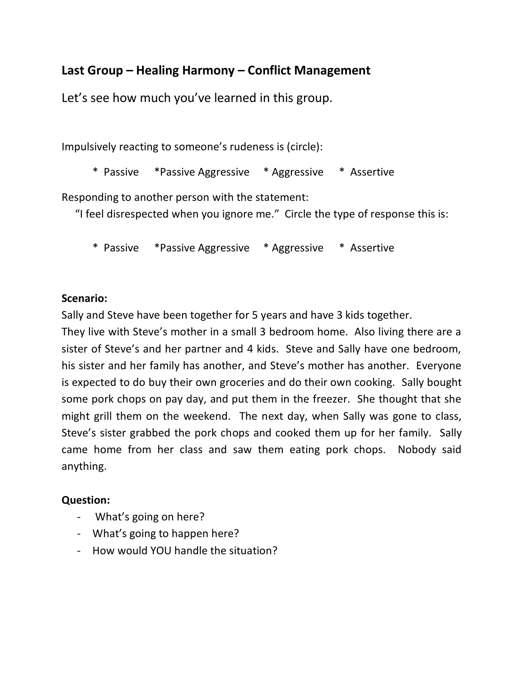## **Last Group – Healing Harmony – Conflict Management**

Let's see how much you've learned in this group.

Impulsively reacting to someone's rudeness is (circle):

\* Passive \*Passive Aggressive \* Aggressive \* Assertive

Responding to another person with the statement:

"I feel disrespected when you ignore me." Circle the type of response this is:

\* Passive \*Passive Aggressive \* Aggressive \* Assertive

## **Scenario:**

Sally and Steve have been together for 5 years and have 3 kids together.

They live with Steve's mother in a small 3 bedroom home. Also living there are a sister of Steve's and her partner and 4 kids. Steve and Sally have one bedroom, his sister and her family has another, and Steve's mother has another. Everyone is expected to do buy their own groceries and do their own cooking. Sally bought some pork chops on pay day, and put them in the freezer. She thought that she might grill them on the weekend. The next day, when Sally was gone to class, Steve's sister grabbed the pork chops and cooked them up for her family. Sally came home from her class and saw them eating pork chops. Nobody said anything.

## **Question:**

- What's going on here?
- What's going to happen here?
- How would YOU handle the situation?